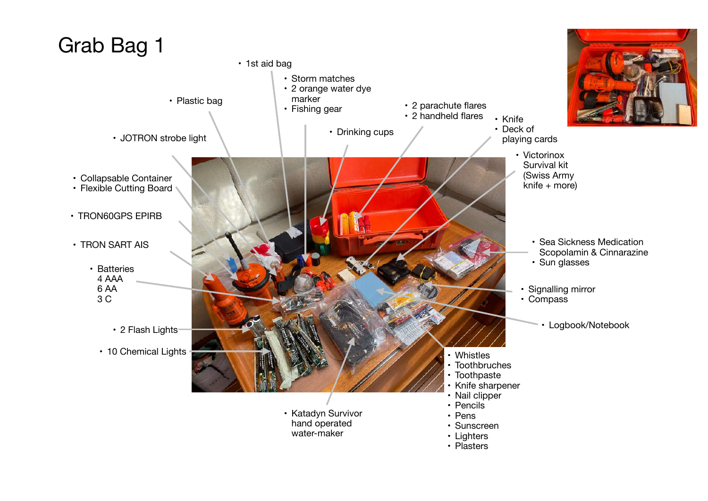## Grab Bag 1 • Collapsable Container • Flexible Cutting Board • Batteries 4 AAA 6 AA 3 C • TRON60GPS EPIRB • TRON SART AIS • 2 Flash Lights • 10 Chemical Lights • Katadyn Survivor hand operated water-maker • Whistles • Toothbruches • Toothpaste • Knife sharpener • Nail clipper • Pencils • Pens • Sunscreen • Lighters • Plasters Signalling mirror • Compass • Sea Sickness Medication Scopolamin & Cinnarazine • Sun glasses • Knife • Deck of • Drinking cups • Deck of playing cards • Victorinox Survival kit (Swiss Army knife + more) • 2 parachute flares • 2 handheld flares • 1st aid bag • Storm matches • 2 orange water dye marker • Fishing gear • JOTRON strobe light • Plastic bag • Logbook/Notebook